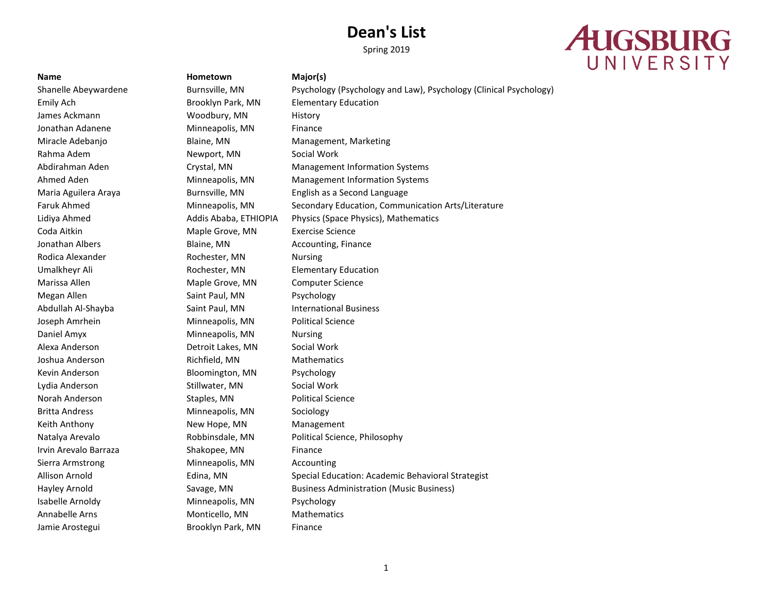Spring 2019

## **AUGSBURG** UNIVERSITY

**Name Hometown Major(s)**

Shanelle Abeywardene Burnsville, MN Psychology (Psychology and Law), Psychology (Clinical Psychology) Emily Ach Brooklyn Park, MN Elementary Education James Ackmann **Woodbury, MN** History Jonathan Adanene **Minneapolis**, MN Finance Miracle Adebanjo Blaine, MN Management, Marketing Rahma Adem **Newport, MN** Social Work Abdirahman Aden **Crystal, MN** Management Information Systems Ahmed Aden **Minneapolis, MN** Management Information Systems Maria Aguilera Araya Burnsville, MN English as a Second Language Faruk Ahmed Minneapolis, MN Secondary Education, Communication Arts/Literature Lidiya Ahmed Addis Ababa, ETHIOPIA Physics (Space Physics), Mathematics Coda Aitkin Maple Grove, MN Exercise Science Jonathan Albers **Blaine**, MN **Accounting, Finance** Rodica Alexander **Rochester**, MN Nursing Umalkheyr Ali **Elementary Education** Rochester, MN Elementary Education Marissa Allen Maple Grove, MN Computer Science Megan Allen Saint Paul, MN Psychology Abdullah Al-Shayba Saint Paul, MN International Business Joseph Amrhein Minneapolis, MN Political Science Daniel Amyx **Minneapolis**, MN Nursing Alexa Anderson Detroit Lakes, MN Social Work Joshua Anderson **Richfield, MN** Mathematics Kevin Anderson **Bloomington, MN** Psychology Lydia Anderson Stillwater, MN Social Work Norah Anderson Staples, MN Political Science Britta Andress **Minneapolis, MN** Sociology Keith Anthony **New Hope, MN** Management Natalya Arevalo **Robbinsdale, MN** Political Science, Philosophy Irvin Arevalo Barraza Shakopee, MN Finance Sierra Armstrong The Minneapolis, MN Accounting Allison Arnold Edina, MN Special Education: Academic Behavioral Strategist Hayley Arnold **Savage, MN** Business Administration (Music Business) **Business** Isabelle Arnoldy Minneapolis, MN Psychology Annabelle Arns **Monticello, MN** Mathematics Jamie Arostegui **Brooklyn Park, MN** Finance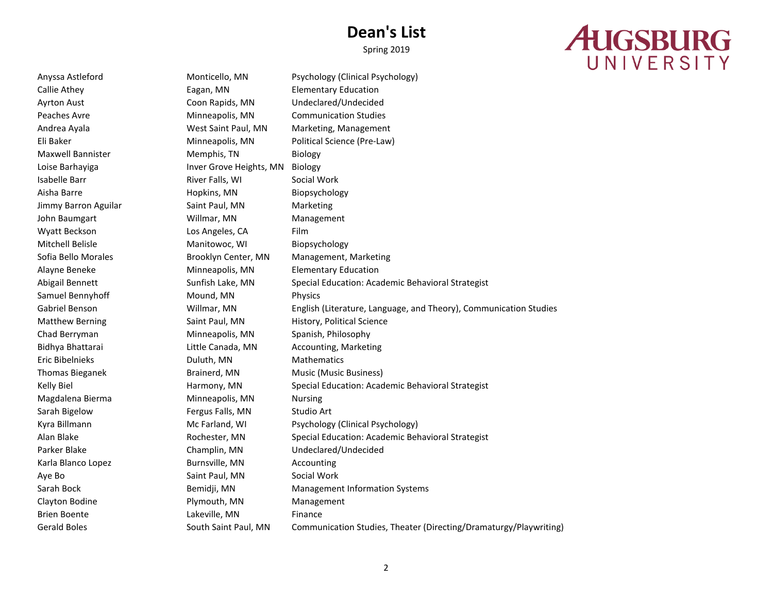Spring 2019

## **AUGSBURG** UNIVERSITY

Anyssa Astleford Monticello, MN Psychology (Clinical Psychology) Callie Athey **Eagan, MN** Elementary Education Ayrton Aust Coon Rapids, MN Undeclared/Undecided Peaches Avre Minneapolis, MN Communication Studies Andrea Ayala West Saint Paul, MN Marketing, Management Eli Baker Minneapolis, MN Political Science (Pre-Law) Maxwell Bannister Memphis, TN Biology Loise Barhayiga **Inver Grove Heights, MN** Biology Isabelle Barr **River Falls**, WI Social Work Aisha Barre Hopkins, MN Biopsychology Jimmy Barron Aguilar **Saint Paul, MN** Marketing John Baumgart **Management** Willmar, MN Management Wyatt Beckson **Los Angeles, CA** Film Mitchell Belisle Manitowoc, WI Biopsychology Sofia Bello Morales **Brooklyn Center, MN** Management, Marketing Alayne Beneke Minneapolis, MN Elementary Education Abigail Bennett Sunfish Lake, MN Special Education: Academic Behavioral Strategist Samuel Bennyhoff Mound, MN Physics Gabriel Benson Willmar, MN English (Literature, Language, and Theory), Communication Studies Matthew Berning Saint Paul, MN History, Political Science Chad Berryman Minneapolis, MN Spanish, Philosophy Bidhya Bhattarai Little Canada, MN Accounting, Marketing Eric Bibelnieks **Duluth, MN** Mathematics Thomas Bieganek Brainerd, MN Music (Music Business) Kelly Biel **Harmony, MN** Special Education: Academic Behavioral Strategist Strategist Magdalena Bierma Minneapolis, MN Nursing Sarah Bigelow Fergus Falls, MN Studio Art Kyra Billmann **Mc Farland, WI** Psychology (Clinical Psychology) Alan Blake Rochester, MN Special Education: Academic Behavioral Strategist Parker Blake Champlin, MN Undeclared/Undecided Karla Blanco Lopez **Burnsville, MN** Accounting Aye Bo **Saint Paul, MN** Social Work Sarah Bock **Bemidji, MN** Management Information Systems Clayton Bodine **Plymouth, MN** Management Brien Boente **Lakeville, MN** Finance Gerald Boles South Saint Paul, MN Communication Studies, Theater (Directing/Dramaturgy/Playwriting)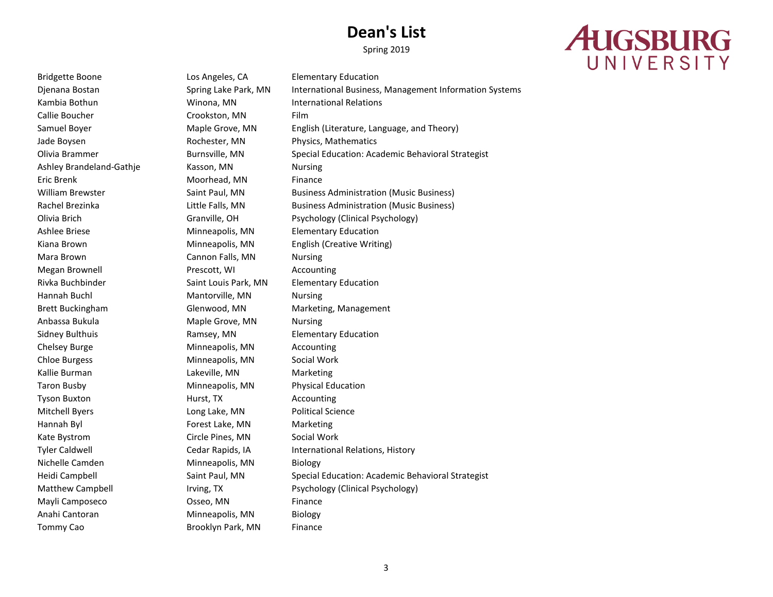Spring 2019

## **AUGSBURG** UNIVERSITY

Bridgette Boone Los Angeles, CA Elementary Education Kambia Bothun **International Relations** Winona, MN **International Relations** Callie Boucher **Crookston**, MN Film Jade Boysen **Rochester, MN** Physics, Mathematics Ashley Brandeland-Gathje Kasson, MN Nursing Eric Brenk **Moorhead**, MN Finance Ashlee Briese Minneapolis, MN Elementary Education Kiana Brown Minneapolis, MN English (Creative Writing) Mara Brown **Cannon Falls, MN** Nursing Megan Brownell **Accounting** Prescott, WI **Accounting** Rivka Buchbinder The Saint Louis Park, MN Elementary Education Hannah Buchl Mantorville, MN Nursing Brett Buckingham Glenwood, MN Marketing, Management Anbassa Bukula Maple Grove, MN Nursing Sidney Bulthuis **Elementary Education** Ramsey, MN Elementary Education Chelsey Burge **Minneapolis**, MN Accounting Chloe Burgess Minneapolis, MN Social Work Kallie Burman **Marketing** Lakeville, MN Marketing Taron Busby Minneapolis, MN Physical Education Tyson Buxton **Hurst, TX** Accounting Mitchell Byers **Long Lake, MN** Political Science Hannah Byl **Forest Lake, MN** Marketing Kate Bystrom Circle Pines, MN Social Work Nichelle Camden Minneapolis, MN Biology Mayli Camposeco **Camposeco** Osseo, MN Finance Anahi Cantoran **Minneapolis**, MN Biology Tommy Cao Brooklyn Park, MN Finance

Djenana Bostan Systems Spring Lake Park, MN International Business, Management Information Systems Samuel Boyer **Maple Grove, MN** English (Literature, Language, and Theory) Olivia Brammer Burnsville, MN Special Education: Academic Behavioral Strategist William Brewster Saint Paul, MN Business Administration (Music Business) Rachel Brezinka **Little Falls, MN** Business Administration (Music Business) Olivia Brich Granville, OH Psychology (Clinical Psychology) Tyler Caldwell **Cedar Rapids, IA** International Relations, History Heidi Campbell Saint Paul, MN Special Education: Academic Behavioral Strategist Matthew Campbell **Irving, TX** Psychology (Clinical Psychology)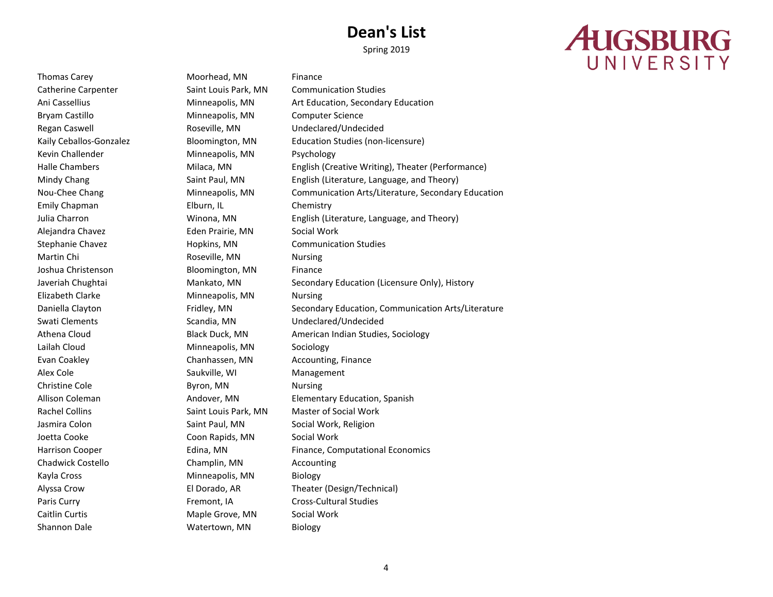Spring 2019

## **AUGSBURG** UNIVERSITY

Thomas Carey **Moorhead, MN** Finance Bryam Castillo **Minneapolis, MN** Computer Science Kevin Challender **Minneapolis**, MN Psychology Emily Chapman Elburn, IL Chemistry Alejandra Chavez Eden Prairie, MN Social Work Martin Chi **Nursing** Roseville, MN Nursing Joshua Christenson Bloomington, MN Finance Elizabeth Clarke Minneapolis, MN Nursing Lailah Cloud Minneapolis, MN Sociology Evan Coakley **Chanhassen, MN** Accounting, Finance Alex Cole **Saukville, WI** Management Christine Cole **Byron**, MN Nursing Rachel Collins **Saint Louis Park, MN** Master of Social Work Jasmira Colon **Saint Paul, MN** Social Work, Religion Joetta Cooke Coon Rapids, MN Social Work Chadwick Costello Champlin, MN Accounting Kayla Cross **Minneapolis**, MN Biology Paris Curry **Fremont, IA** Cross-Cultural Studies Caitlin Curtis **Caitlin Curtis** Maple Grove, MN Social Work Shannon Dale Watertown, MN Biology

Catherine Carpenter Saint Louis Park, MN Communication Studies Ani Cassellius **Minneapolis, MN** Art Education, Secondary Education Regan Caswell Roseville, MN Undeclared/Undecided Kaily Ceballos-Gonzalez Bloomington, MN Education Studies (non-licensure) Halle Chambers Milaca, MN English (Creative Writing), Theater (Performance) Mindy Chang Saint Paul, MN English (Literature, Language, and Theory) English (Literature, Language, and Theory) Nou-Chee Chang Minneapolis, MN Communication Arts/Literature, Secondary Education Julia Charron Winona, MN English (Literature, Language, and Theory) Stephanie Chavez **Markell** Hopkins, MN Communication Studies Javeriah Chughtai **Mankato, MN** Secondary Education (Licensure Only), History Daniella Clayton **Fridley, MN** Secondary Education, Communication Arts/Literature Swati Clements Scandia, MN Undeclared/Undecided Athena Cloud **Black Duck, MN** American Indian Studies, Sociology Allison Coleman **Andover, MN** Elementary Education, Spanish Harrison Cooper Edina, MN Finance, Computational Economics Alyssa Crow El Dorado, AR Theater (Design/Technical)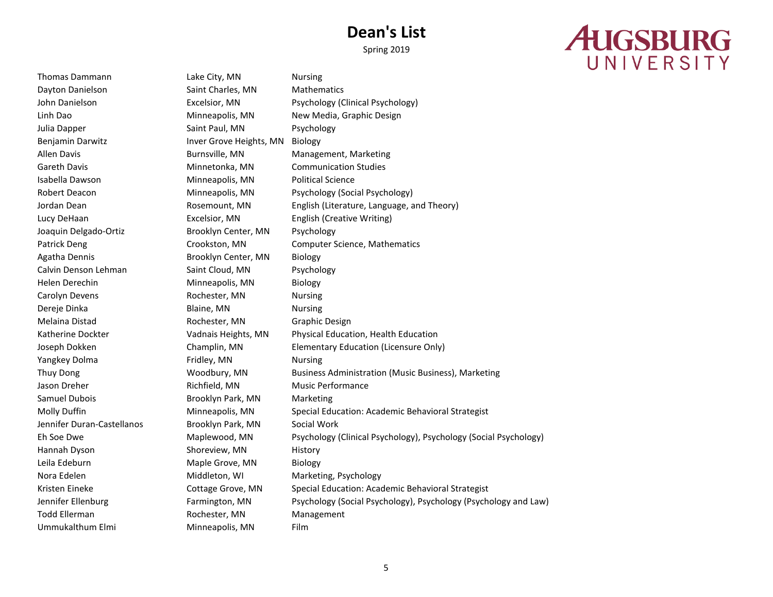Spring 2019

## **AUGSBURG** UNIVERSITY

Ummukalthum Elmi Minneapolis, MN Film

Thomas Dammann Lake City, MN Nursing Dayton Danielson Saint Charles, MN Mathematics John Danielson Excelsior, MN Psychology (Clinical Psychology) Linh Dao Minneapolis, MN New Media, Graphic Design Julia Dapper Saint Paul, MN Psychology Benjamin Darwitz **Inver Grove Heights, MN** Biology Allen Davis **Burnsville, MN** Management, Marketing Gareth Davis **Minnetonka, MN** Communication Studies Isabella Dawson Minneapolis, MN Political Science Robert Deacon **Minneapolis, MN** Psychology (Social Psychology) Lucy DeHaan Excelsior, MN English (Creative Writing) Joaquin Delgado-Ortiz **Brooklyn Center, MN** Psychology Patrick Deng Crookston, MN Computer Science, Mathematics Agatha Dennis **Brooklyn Center, MN** Biology Calvin Denson Lehman Saint Cloud, MN Psychology Helen Derechin Minneapolis, MN Biology Carolyn Devens **Rochester**, MN Nursing Dereje Dinka Blaine, MN Nursing Melaina Distad Rochester, MN Graphic Design Yangkey Dolma **Fridley, MN** Nursing Jason Dreher **Richfield, MN** Music Performance Samuel Dubois **Brooklyn Park, MN** Marketing Jennifer Duran-Castellanos Brooklyn Park, MN Social Work Hannah Dyson Shoreview, MN History Leila Edeburn **Maple Grove, MN** Biology Nora Edelen Middleton, WI Marketing, Psychology Todd Ellerman **Rochester, MN** Management

Jordan Dean **Rosemount, MN** English (Literature, Language, and Theory) Katherine Dockter Vadnais Heights, MN Physical Education, Health Education Joseph Dokken Champlin, MN Elementary Education (Licensure Only) Thuy Dong Woodbury, MN Business Administration (Music Business), Marketing Molly Duffin **Minneapolis, MN** Special Education: Academic Behavioral Strategist Eh Soe Dwe Maplewood, MN Psychology (Clinical Psychology), Psychology (Social Psychology) Kristen Eineke Cottage Grove, MN Special Education: Academic Behavioral Strategist Jennifer Ellenburg Farmington, MN Psychology (Social Psychology), Psychology (Psychology and Law)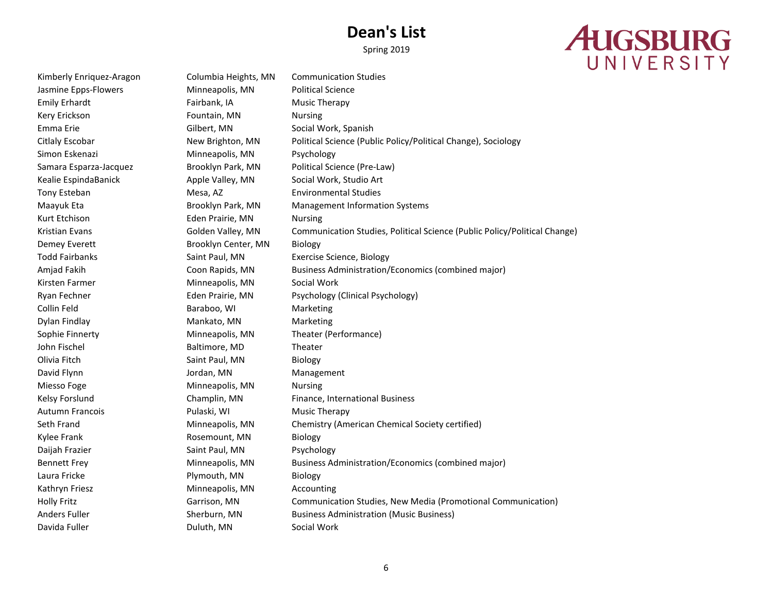#### Spring 2019

## **AUGSBURG** UNIVERSITY

Kimberly Enriquez-Aragon Columbia Heights, MN Communication Studies Jasmine Epps-Flowers Minneapolis, MN Political Science Emily Erhardt Fairbank, IA Music Therapy Kery Erickson **Fountain**, MN Nursing Emma Erie Gilbert, MN Social Work, Spanish Citlaly Escobar New Brighton, MN Political Science (Public Policy/Political Change), Sociology Simon Eskenazi **Minneapolis, MN** Psychology Samara Esparza-Jacquez Brooklyn Park, MN Political Science (Pre-Law) Kealie EspindaBanick and Apple Valley, MN Social Work, Studio Art Tony Esteban Mesa, AZ Environmental Studies Maayuk Eta **Brooklyn Park, MN** Management Information Systems Kurt Etchison **Eden Prairie, MN** Nursing Kristian Evans Golden Valley, MN Communication Studies, Political Science (Public Policy/Political Change) Demey Everett Brooklyn Center, MN Biology Todd Fairbanks Todd Fairbanks Saint Paul, MN Exercise Science, Biology Amjad Fakih Coon Rapids, MN Business Administration/Economics (combined major) Kirsten Farmer **Minneapolis**, MN Social Work Ryan Fechner **Eden Prairie, MN** Psychology (Clinical Psychology) Collin Feld Baraboo, WI Marketing Dylan Findlay **Mankato**, MN Marketing Sophie Finnerty **Minneapolis, MN** Theater (Performance) John Fischel **Baltimore**, MD Theater Olivia Fitch Saint Paul, MN Biology David Flynn **Carlos Communist Communist Communist Communist Communist Communist Communist Communist Communist Communist Communist Communist Communist Communist Communist Communist Communist Communist Communist Communist Co** Miesso Foge **Minneapolis**, MN Nursing Kelsy Forslund **Exampling Champlin, MN** Finance, International Business Autumn Francois Pulaski, WI Music Therapy Seth Frand Minneapolis, MN Chemistry (American Chemical Society certified) Kylee Frank **Rosemount**, MN Biology Daijah Frazier Saint Paul, MN Psychology Bennett Frey **Minneapolis, MN** Business Administration/Economics (combined major) Laura Fricke **Plymouth, MN** Biology Kathryn Friesz **Minneapolis, MN** Accounting Holly Fritz Garrison, MN Communication Studies, New Media (Promotional Communication) Anders Fuller Sherburn, MN Business Administration (Music Business) Davida Fuller **Duluth, MN** Social Work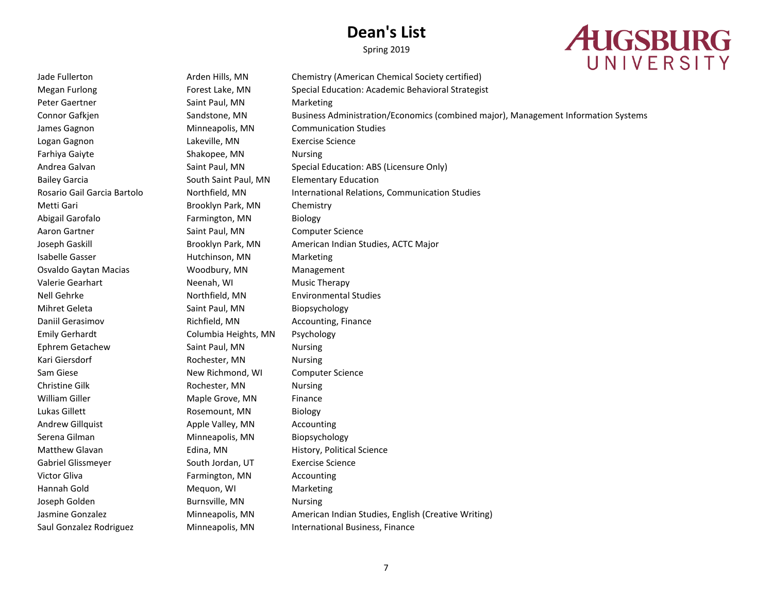Spring 2019



Jade Fullerton **Arden Hills, MN** Chemistry (American Chemical Society certified) Megan Furlong Forest Lake, MN Special Education: Academic Behavioral Strategist Peter Gaertner Saint Paul, MN Marketing Connor Gafkjen Sandstone, MN Business Administration/Economics (combined major), Management Information Systems James Gagnon Minneapolis, MN Communication Studies Logan Gagnon Lakeville, MN Exercise Science Farhiya Gaiyte **Shakopee, MN** Nursing Andrea Galvan Saint Paul, MN Special Education: ABS (Licensure Only) Bailey Garcia South Saint Paul, MN Elementary Education Rosario Gail Garcia Bartolo **Northfield, MN** International Relations, Communication Studies Metti Gari **Brooklyn Park, MN** Chemistry Abigail Garofalo **Farmington, MN** Biology Aaron Gartner The Saint Paul, MN Computer Science Joseph Gaskill Brooklyn Park, MN American Indian Studies, ACTC Major Isabelle Gasser **Figure 12** Hutchinson, MN Marketing Osvaldo Gaytan Macias **Woodbury, MN** Management Valerie Gearhart **Neenah, WI Music Therapy** Nell Gehrke Northfield, MN Environmental Studies Mihret Geleta Saint Paul, MN Biopsychology Daniil Gerasimov **Richfield, MN** Accounting, Finance Emily Gerhardt Columbia Heights, MN Psychology Ephrem Getachew Saint Paul, MN Nursing Kari Giersdorf **Rochester**, MN Nursing Sam Giese **New Richmond, WI** Computer Science Christine Gilk **Rochester**, MN Nursing William Giller **Maple Grove, MN** Finance Lukas Gillett **Rosemount**, MN Biology Andrew Gillquist **Apple Valley, MN** Accounting Serena Gilman Minneapolis, MN Biopsychology Matthew Glavan **Edina, MN** History, Political Science Gabriel Glissmeyer South Jordan, UT Exercise Science Victor Gliva Farmington, MN Accounting Hannah Gold Mequon, WI Marketing Joseph Golden Burnsville, MN Nursing Jasmine Gonzalez Minneapolis, MN American Indian Studies, English (Creative Writing) Saul Gonzalez Rodriguez **Minneapolis, MN** International Business, Finance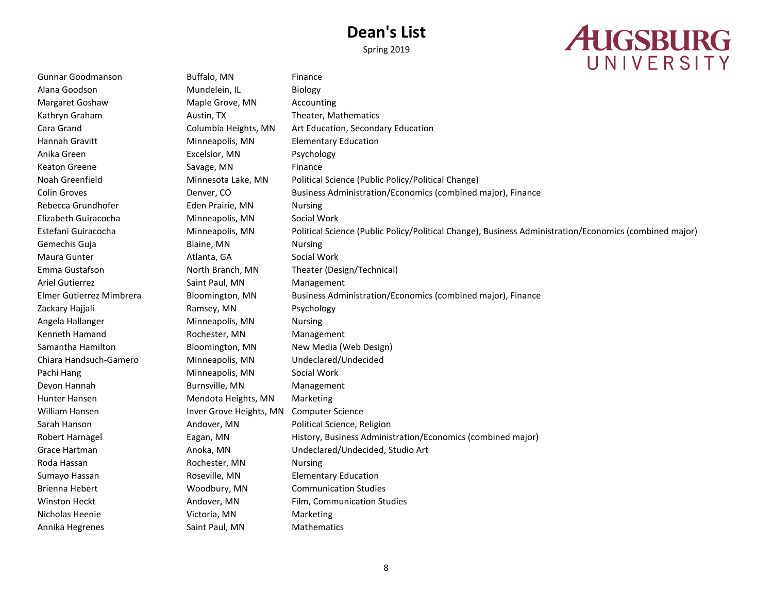Spring 2019

# AUGSBURG

| Gunnar Goodmanson        | Buffalo, MN             | Finance                                                                                                |
|--------------------------|-------------------------|--------------------------------------------------------------------------------------------------------|
| Alana Goodson            | Mundelein, IL           | <b>Biology</b>                                                                                         |
| Margaret Goshaw          | Maple Grove, MN         | Accounting                                                                                             |
| Kathryn Graham           | Austin, TX              | Theater, Mathematics                                                                                   |
| Cara Grand               | Columbia Heights, MN    | Art Education, Secondary Education                                                                     |
| Hannah Gravitt           | Minneapolis, MN         | <b>Elementary Education</b>                                                                            |
| Anika Green              | Excelsior, MN           | Psychology                                                                                             |
| <b>Keaton Greene</b>     | Savage, MN              | Finance                                                                                                |
| Noah Greenfield          | Minnesota Lake, MN      | Political Science (Public Policy/Political Change)                                                     |
| <b>Colin Groves</b>      | Denver, CO              | Business Administration/Economics (combined major), Finance                                            |
| Rebecca Grundhofer       | Eden Prairie, MN        | <b>Nursing</b>                                                                                         |
| Elizabeth Guiracocha     | Minneapolis, MN         | Social Work                                                                                            |
| Estefani Guiracocha      | Minneapolis, MN         | Political Science (Public Policy/Political Change), Business Administration/Economics (combined major) |
| Gemechis Guja            | Blaine, MN              | <b>Nursing</b>                                                                                         |
| Maura Gunter             | Atlanta, GA             | Social Work                                                                                            |
| Emma Gustafson           | North Branch, MN        | Theater (Design/Technical)                                                                             |
| Ariel Gutierrez          | Saint Paul, MN          | Management                                                                                             |
| Elmer Gutierrez Mimbrera | Bloomington, MN         | Business Administration/Economics (combined major), Finance                                            |
| Zackary Hajjali          | Ramsey, MN              | Psychology                                                                                             |
| Angela Hallanger         | Minneapolis, MN         | <b>Nursing</b>                                                                                         |
| Kenneth Hamand           | Rochester, MN           | Management                                                                                             |
| Samantha Hamilton        | Bloomington, MN         | New Media (Web Design)                                                                                 |
| Chiara Handsuch-Gamero   | Minneapolis, MN         | Undeclared/Undecided                                                                                   |
| Pachi Hang               | Minneapolis, MN         | Social Work                                                                                            |
| Devon Hannah             | Burnsville, MN          | Management                                                                                             |
| Hunter Hansen            | Mendota Heights, MN     | Marketing                                                                                              |
| William Hansen           | Inver Grove Heights, MN | <b>Computer Science</b>                                                                                |
| Sarah Hanson             | Andover, MN             | Political Science, Religion                                                                            |
| Robert Harnagel          | Eagan, MN               | History, Business Administration/Economics (combined major)                                            |
| Grace Hartman            | Anoka, MN               | Undeclared/Undecided, Studio Art                                                                       |
| Roda Hassan              | Rochester, MN           | <b>Nursing</b>                                                                                         |
| Sumayo Hassan            | Roseville, MN           | <b>Elementary Education</b>                                                                            |
| Brienna Hebert           | Woodbury, MN            | <b>Communication Studies</b>                                                                           |
| <b>Winston Heckt</b>     | Andover, MN             | Film, Communication Studies                                                                            |
| Nicholas Heenie          | Victoria, MN            | Marketing                                                                                              |
| Annika Hegrenes          | Saint Paul, MN          | Mathematics                                                                                            |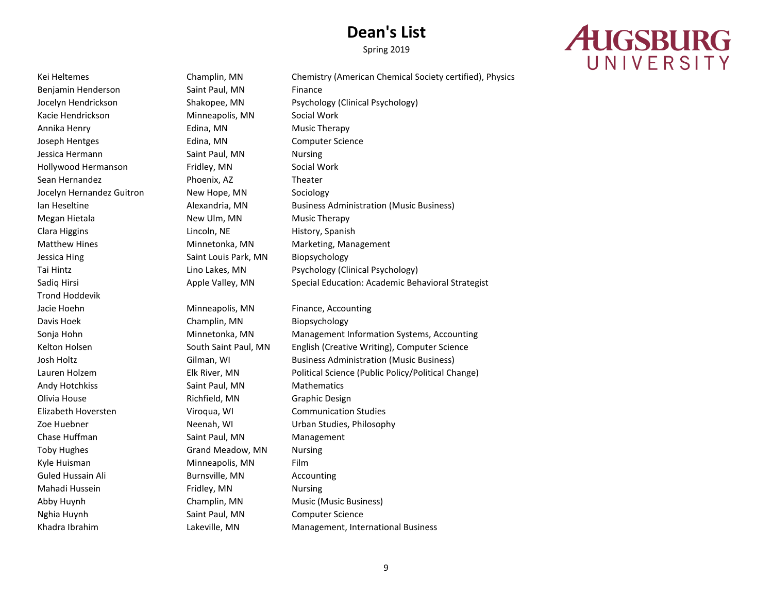Spring 2019

## **AUGSBURG** UNIVERSITY

Trond Hoddevik

Kei Heltemes Champlin, MN Chemistry (American Chemical Society certified), Physics Benjamin Henderson Saint Paul, MN Finance Jocelyn Hendrickson Shakopee, MN Psychology (Clinical Psychology) Kacie Hendrickson Minneapolis, MN Social Work Annika Henry Edina, MN Music Therapy Joseph Hentges Edina, MN Computer Science Jessica Hermann Saint Paul, MN Nursing Hollywood Hermanson Fridley, MN Social Work Sean Hernandez **Phoenix, AZ** Theater Jocelyn Hernandez Guitron New Hope, MN Sociology Ian Heseltine **Alexandria, MN** Business Administration (Music Business) Megan Hietala New Ulm, MN Music Therapy Clara Higgins Lincoln, NE History, Spanish Matthew Hines **Minnetonka, MN** Marketing, Management Jessica Hing Saint Louis Park, MN Biopsychology Tai Hintz **Lino Lakes, MN** Psychology (Clinical Psychology) Sadiq Hirsi **Apple Valley, MN** Special Education: Academic Behavioral Strategist Games Apple Valley, MN Jacie Hoehn Minneapolis, MN Finance, Accounting Davis Hoek Champlin, MN Biopsychology Sonja Hohn **Minnetonka, MN** Management Information Systems, Accounting Kelton Holsen South Saint Paul, MN English (Creative Writing), Computer Science Josh Holtz Gilman, WI Business Administration (Music Business) Lauren Holzem Elk River, MN Political Science (Public Policy/Political Change) Andy Hotchkiss **Saint Paul, MN** Mathematics Olivia House **Richfield, MN** Graphic Design Elizabeth Hoversten Viroqua, WI Communication Studies Zoe Huebner Neenah, WI Urban Studies, Philosophy Chase Huffman Saint Paul, MN Management Toby Hughes **Grand Meadow, MN** Nursing Kyle Huisman **Minneapolis**, MN Film Guled Hussain Ali **Burnsville, MN** Accounting Mahadi Hussein **Fridley, MN** Nursing Abby Huynh Champlin, MN Music (Music Business) Nghia Huynh Saint Paul, MN Computer Science Khadra Ibrahim Lakeville, MN Management, International Business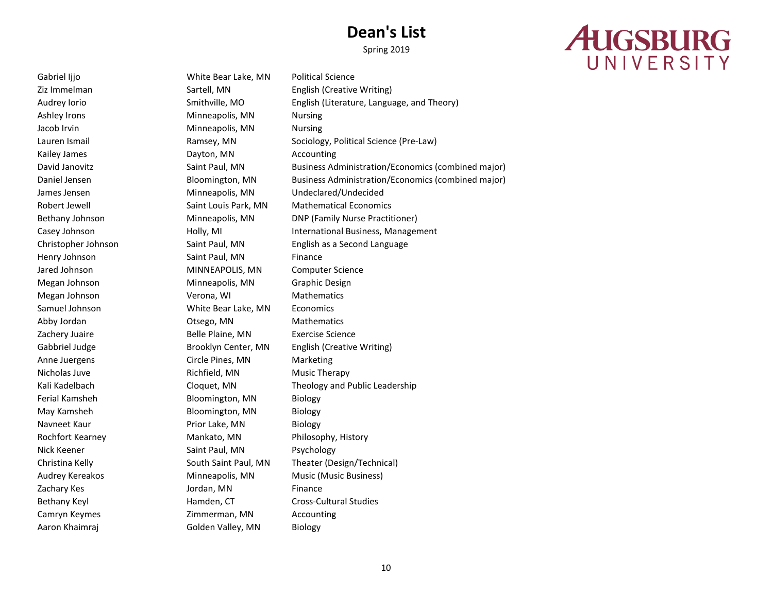Spring 2019

## **AUGSBURG** UNIVERSITY

Gabriel Ijjo **Solution Communist Contract Contract Contract Contract Contract Contract Contract Contract Contract Contract Contract Contract Contract Contract Contract Contract Contract Contract Contract Contract Contract** Ziz Immelman Sartell, MN English (Creative Writing) Audrey Iorio Smithville, MO English (Literature, Language, and Theory) Ashley Irons **Minneapolis**, MN Nursing Jacob Irvin **Minneapolis**, MN Nursing Lauren Ismail **Ramsey, MN** Sociology, Political Science (Pre-Law) Kailey James Dayton, MN Accounting James Jensen Minneapolis, MN Undeclared/Undecided Robert Jewell **Saint Louis Park, MN** Mathematical Economics Bethany Johnson Minneapolis, MN DNP (Family Nurse Practitioner) Casey Johnson **Holly, MI** International Business, Management Christopher Johnson Saint Paul, MN English as a Second Language Henry Johnson Saint Paul, MN Finance Jared Johnson MINNEAPOLIS, MN Computer Science Megan Johnson Minneapolis, MN Graphic Design Megan Johnson Verona, WI Mathematics Samuel Johnson White Bear Lake, MN Economics Abby Jordan **Contracts** Otsego, MN Mathematics Zachery Juaire **Belle Plaine, MN** Exercise Science Gabbriel Judge **Brooklyn Center, MN** English (Creative Writing) Anne Juergens Circle Pines, MN Marketing Nicholas Juve **Richolas Juve Richfield, MN** Music Therapy Kali Kadelbach Cloquet, MN Theology and Public Leadership Ferial Kamsheh Bloomington, MN Biology May Kamsheh Bloomington, MN Biology Navneet Kaur **Prior Lake, MN** Biology Rochfort Kearney **Mankato, MN** Philosophy, History Nick Keener Saint Paul, MN Psychology Christina Kelly **South Saint Paul, MN** Theater (Design/Technical) Christina Kelly Audrey Kereakos **Minneapolis, MN** Music (Music Business) Zachary Kes **Jordan, MN** Finance Bethany Keyl **Hamden, CT** Cross-Cultural Studies Camryn Keymes Zimmerman, MN Accounting Aaron Khaimraj **Golden Valley, MN** Biology

David Janovitz **Saint Paul, MN** Business Administration/Economics (combined major) Daniel Jensen **Bloomington, MN** Business Administration/Economics (combined major)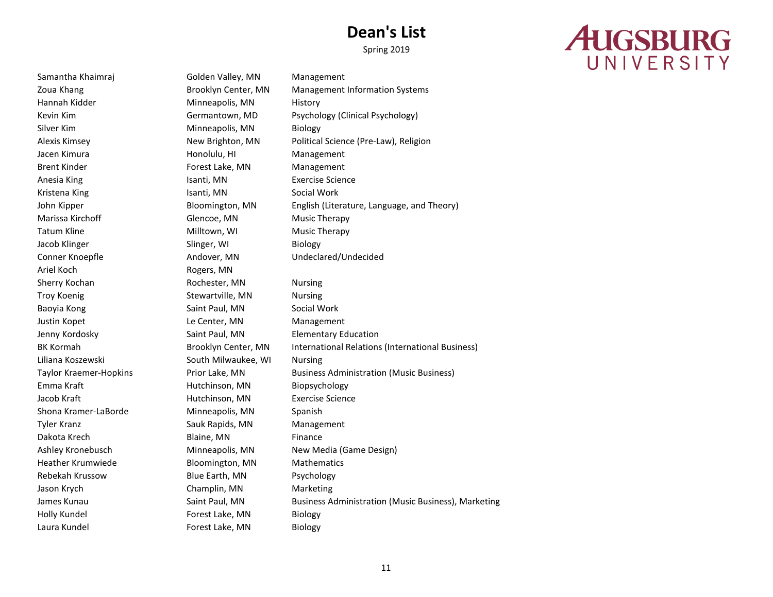Spring 2019

## Hannah Kidder Minneapolis, MN History Silver Kim **Minneapolis**, MN Biology Kristena King **Isanti, MN** Social Work Jacob Klinger Slinger, WI Biology Ariel Koch **Rogers**, MN Sherry Kochan **Rochester**, MN Nursing Troy Koenig **Stewartville, MN** Nursing Baoyia Kong Saint Paul, MN Social Work Liliana Koszewski South Milwaukee, WI Nursing Shona Kramer-LaBorde Minneapolis, MN Spanish Dakota Krech **Blaine**, MN Finance Heather Krumwiede Bloomington, MN Mathematics Rebekah Krussow Blue Earth, MN Psychology Jason Krych **Champlin, MN** Marketing Holly Kundel Forest Lake, MN Biology Laura Kundel **Forest Lake, MN** Biology

Samantha Khaimraj **Samantha Khaimraj** Golden Valley, MN Management Zoua Khang The Brooklyn Center, MN Management Information Systems Kevin Kim **Germantown, MD** Psychology (Clinical Psychology) Alexis Kimsey **New Brighton, MN** Political Science (Pre-Law), Religion Jacen Kimura **Honolulu, HI** Management Brent Kinder **Forest Lake, MN** Management Anesia King **Islami** Isanti, MN Exercise Science John Kipper Bloomington, MN English (Literature, Language, and Theory) Marissa Kirchoff Glencoe, MN Music Therapy Tatum Kline **Milltown, WI Music Therapy** Milltown, WI Conner Knoepfle Andover, MN Undeclared/Undecided Justin Kopet Le Center, MN Management Jenny Kordosky Saint Paul, MN Elementary Education BK Kormah **Brooklyn Center, MN** International Relations (International Business) Taylor Kraemer-Hopkins Prior Lake, MN Business Administration (Music Business) Emma Kraft **Hutchinson, MN** Biopsychology Jacob Kraft Hutchinson, MN Exercise Science Tyler Kranz **Sauk Rapids, MN** Management Ashley Kronebusch Minneapolis, MN New Media (Game Design) James Kunau Saint Paul, MN Business Administration (Music Business), Marketing

## **AUGSBURG** UNIVERSITY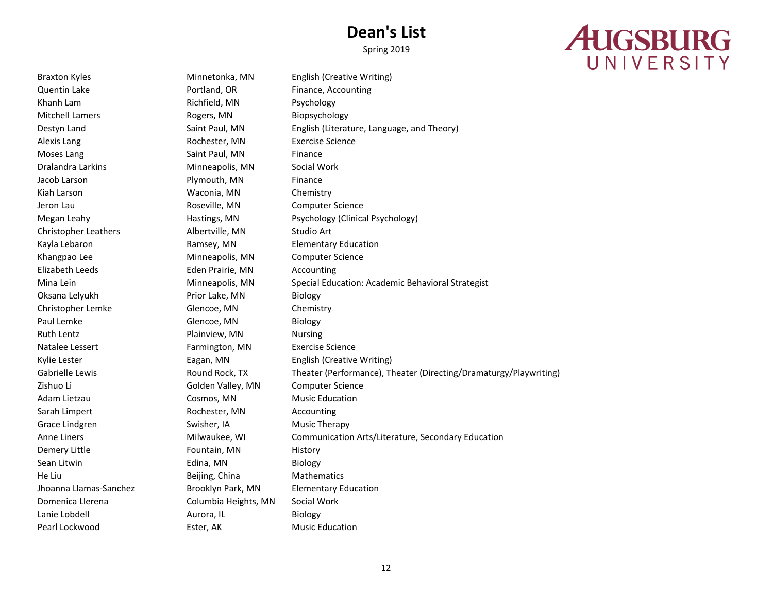Spring 2019

## **AUGSBURG** UNIVERSITY

Braxton Kyles **Minnetonka, MN** English (Creative Writing) Quentin Lake **Portland, OR** Finance, Accounting Khanh Lam Richfield, MN Psychology Mitchell Lamers **Rogers, MN** Biopsychology Alexis Lang Rochester, MN Exercise Science Moses Lang The Saint Paul, MN Finance Dralandra Larkins Minneapolis, MN Social Work Jacob Larson **Plymouth, MN** Finance Kiah Larson **Waconia**, MN Chemistry Jeron Lau Roseville, MN Computer Science Megan Leahy **Hastings, MN** Psychology (Clinical Psychology) Christopher Leathers Albertville, MN Studio Art Kayla Lebaron **Ramsey, MN** Elementary Education Khangpao Lee **Minneapolis, MN** Computer Science Elizabeth Leeds Eden Prairie, MN Accounting Oksana Lelyukh **Prior Lake, MN** Biology Christopher Lemke Glencoe, MN Chemistry Paul Lemke Glencoe, MN Biology Ruth Lentz **Example 2** Plainview, MN Nursing Natalee Lessert Farmington, MN Exercise Science Kylie Lester **Eagan, MN** Eagan, MN English (Creative Writing) Zishuo Li Golden Valley, MN Computer Science Adam Lietzau Cosmos, MN Music Education Sarah Limpert **Rochester, MN** Accounting Grace Lindgren Swisher, IA Music Therapy Demery Little **Example 20 Fountain**, MN History Sean Litwin **Edina**, MN Biology He Liu **Beijing, China** Mathematics Jhoanna Llamas-Sanchez Brooklyn Park, MN Elementary Education Domenica Llerena Columbia Heights, MN Social Work Lanie Lobdell **Aurora**, IL **Biology** Pearl Lockwood **Ester, AK** Music Education

Destyn Land Saint Paul, MN English (Literature, Language, and Theory) Mina Lein Minneapolis, MN Special Education: Academic Behavioral Strategist Gabrielle Lewis **Round Rock, TX** Theater (Performance), Theater (Directing/Dramaturgy/Playwriting) Anne Liners **Milwaukee, WI** Communication Arts/Literature, Secondary Education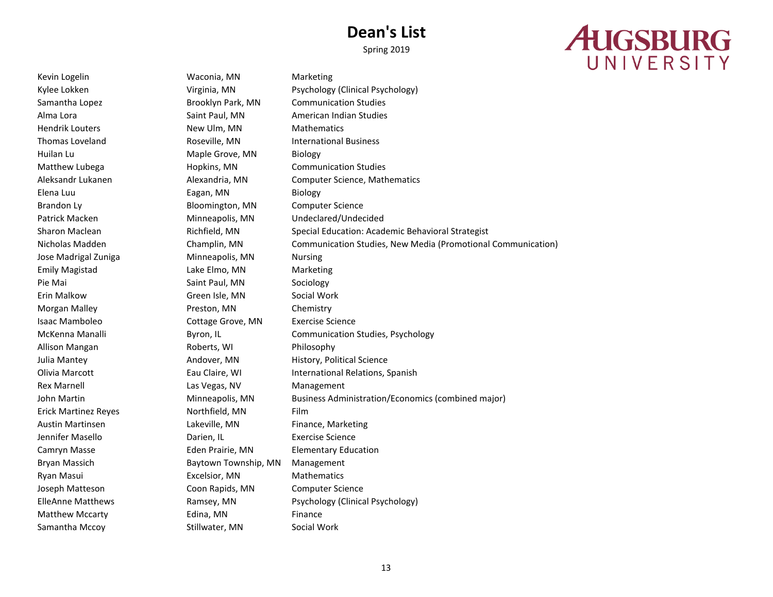Spring 2019

## **AUGSBURG** UNIVERSITY

Kevin Logelin **Marketing** Waconia, MN Marketing Kylee Lokken **Virginia, MN** Psychology (Clinical Psychology) Samantha Lopez Brooklyn Park, MN Communication Studies Alma Lora Saint Paul, MN American Indian Studies Hendrik Louters New Ulm, MN Mathematics Thomas Loveland **Roseville, MN** International Business Huilan Lu Maple Grove, MN Biology Matthew Lubega **Matthew Lubega** Hopkins, MN Communication Studies Aleksandr Lukanen Alexandria, MN Computer Science, Mathematics Elena Luu Eagan, MN Biology Brandon Ly **Bloomington, MN** Computer Science Patrick Macken Minneapolis, MN Undeclared/Undecided Sharon Maclean **Richfield, MN** Special Education: Academic Behavioral Strategist Nicholas Madden Champlin, MN Communication Studies, New Media (Promotional Communication) Jose Madrigal Zuniga **Minneapolis**, MN Nursing Emily Magistad **Emily Marketing** Lake Elmo, MN Marketing Pie Mai **Saint Paul, MN** Sociology Erin Malkow Green Isle, MN Social Work Morgan Malley **Preston, MN** Chemistry Isaac Mamboleo Cottage Grove, MN Exercise Science McKenna Manalli Byron, IL Communication Studies, Psychology Allison Mangan **Roberts, WI** Philosophy Julia Mantey **Andover, MN** History, Political Science Olivia Marcott Eau Claire, WI International Relations, Spanish Rex Marnell **Rex Management** Las Vegas, NV Management John Martin **Minneapolis, MN** Business Administration/Economics (combined major) Erick Martinez Reyes Northfield, MN Film Austin Martinsen Lakeville, MN Finance, Marketing Jennifer Masello Darien, IL Exercise Science Camryn Masse Eden Prairie, MN Elementary Education Bryan Massich **Baytown Township, MN** Management Ryan Masui **Excelsion**, MN Mathematics **Mathematics** Joseph Matteson Coon Rapids, MN Computer Science ElleAnne Matthews Ramsey, MN Psychology (Clinical Psychology) Matthew Mccarty **Edina**, MN Finance Samantha Mccoy Stillwater, MN Social Work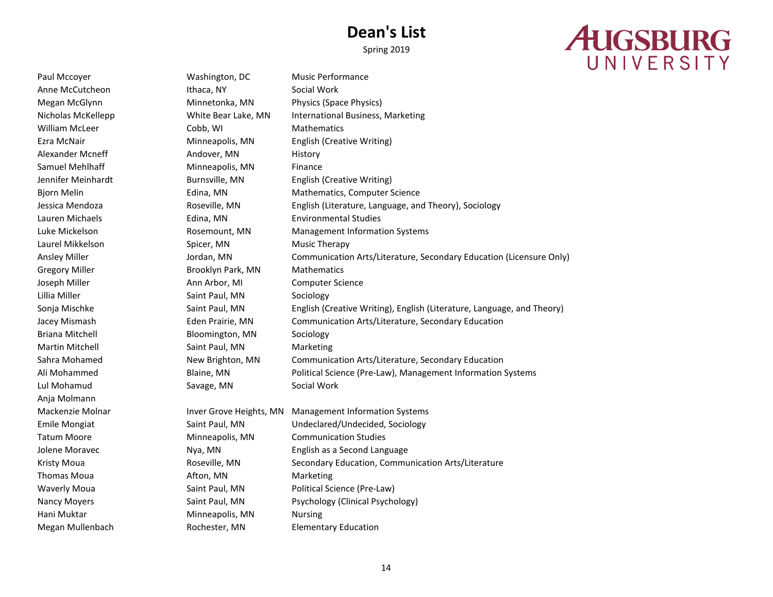Spring 2019

# AUGSBURG

| Paul Mccoyer           |  |  |  |  |
|------------------------|--|--|--|--|
| Anne McCutcheon        |  |  |  |  |
| Megan McGlynn          |  |  |  |  |
| Nicholas McKellepp     |  |  |  |  |
| William McLeer         |  |  |  |  |
| Ezra McNair            |  |  |  |  |
| Alexander Mcneff       |  |  |  |  |
| Samuel Mehlhaff        |  |  |  |  |
| Jennifer Meinhardt     |  |  |  |  |
| <b>Bjorn Melin</b>     |  |  |  |  |
| Jessica Mendoza        |  |  |  |  |
| Lauren Michaels        |  |  |  |  |
| Luke Mickelson         |  |  |  |  |
| Laurel Mikkelson       |  |  |  |  |
| <b>Ansley Miller</b>   |  |  |  |  |
| <b>Gregory Miller</b>  |  |  |  |  |
| Joseph Miller          |  |  |  |  |
| Lillia Miller          |  |  |  |  |
| Sonja Mischke          |  |  |  |  |
| Jacey Mismash          |  |  |  |  |
| <b>Briana Mitchell</b> |  |  |  |  |
| <b>Martin Mitchell</b> |  |  |  |  |
| Sahra Mohamed          |  |  |  |  |
| Ali Mohammed           |  |  |  |  |
| Lul Mohamud            |  |  |  |  |
| Anja Molmann           |  |  |  |  |
| Mackenzie Molnar       |  |  |  |  |
| <b>Emile Mongiat</b>   |  |  |  |  |
| <b>Tatum Moore</b>     |  |  |  |  |
| Jolene Moravec         |  |  |  |  |
| Kristy Moua            |  |  |  |  |
| <b>Thomas Moua</b>     |  |  |  |  |
| <b>Waverly Moua</b>    |  |  |  |  |
| <b>Nancy Moyers</b>    |  |  |  |  |
| Hani Muktar            |  |  |  |  |
| Megan Mullenhach       |  |  |  |  |

| Paul Mccoyer          | Washington, DC          | Music Performance                                                      |
|-----------------------|-------------------------|------------------------------------------------------------------------|
| Anne McCutcheon       | Ithaca, NY              | Social Work                                                            |
| Megan McGlynn         | Minnetonka, MN          | Physics (Space Physics)                                                |
| Nicholas McKellepp    | White Bear Lake, MN     | International Business, Marketing                                      |
| William McLeer        | Cobb, WI                | <b>Mathematics</b>                                                     |
| Ezra McNair           | Minneapolis, MN         | English (Creative Writing)                                             |
| Alexander Mcneff      | Andover, MN             | History                                                                |
| Samuel Mehlhaff       | Minneapolis, MN         | Finance                                                                |
| Jennifer Meinhardt    | Burnsville, MN          | English (Creative Writing)                                             |
| Bjorn Melin           | Edina, MN               | Mathematics, Computer Science                                          |
| Jessica Mendoza       | Roseville, MN           | English (Literature, Language, and Theory), Sociology                  |
| Lauren Michaels       | Edina, MN               | <b>Environmental Studies</b>                                           |
| Luke Mickelson        | Rosemount, MN           | <b>Management Information Systems</b>                                  |
| Laurel Mikkelson      | Spicer, MN              | <b>Music Therapy</b>                                                   |
| Ansley Miller         | Jordan, MN              | Communication Arts/Literature, Secondary Education (Licensure Only)    |
| <b>Gregory Miller</b> | Brooklyn Park, MN       | <b>Mathematics</b>                                                     |
| Joseph Miller         | Ann Arbor, MI           | <b>Computer Science</b>                                                |
| Lillia Miller         | Saint Paul, MN          | Sociology                                                              |
| Sonja Mischke         | Saint Paul, MN          | English (Creative Writing), English (Literature, Language, and Theory) |
| Jacey Mismash         | Eden Prairie, MN        | Communication Arts/Literature, Secondary Education                     |
| Briana Mitchell       | Bloomington, MN         | Sociology                                                              |
| Martin Mitchell       | Saint Paul, MN          | Marketing                                                              |
| Sahra Mohamed         | New Brighton, MN        | Communication Arts/Literature, Secondary Education                     |
| Ali Mohammed          | Blaine, MN              | Political Science (Pre-Law), Management Information Systems            |
| Lul Mohamud           | Savage, MN              | Social Work                                                            |
| Anja Molmann          |                         |                                                                        |
| Mackenzie Molnar      | Inver Grove Heights, MN | <b>Management Information Systems</b>                                  |
| <b>Emile Mongiat</b>  | Saint Paul, MN          | Undeclared/Undecided, Sociology                                        |
| <b>Tatum Moore</b>    | Minneapolis, MN         | <b>Communication Studies</b>                                           |
| Jolene Moravec        | Nya, MN                 | English as a Second Language                                           |
| Kristy Moua           | Roseville, MN           | Secondary Education, Communication Arts/Literature                     |
| Thomas Moua           | Afton, MN               | Marketing                                                              |
| <b>Waverly Moua</b>   | Saint Paul, MN          | Political Science (Pre-Law)                                            |
| <b>Nancy Moyers</b>   | Saint Paul, MN          | Psychology (Clinical Psychology)                                       |
| Hani Muktar           | Minneapolis, MN         | <b>Nursing</b>                                                         |
| Megan Mullenbach      | Rochester, MN           | <b>Elementary Education</b>                                            |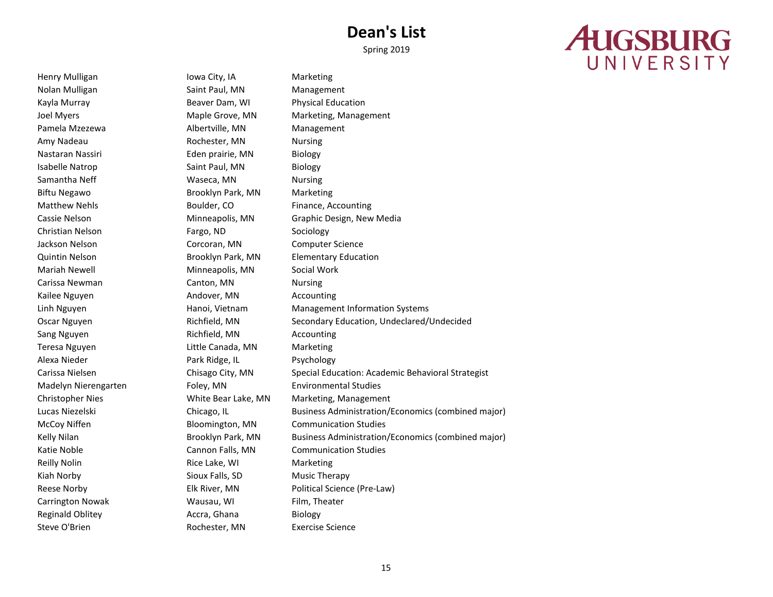Spring 2019

#### Nolan Mulligan **Saint Paul, MN** Management Kayla Murray **Beaver Dam, WI** Physical Education Pamela Mzezewa **Albertville, MN** Management Amy Nadeau **Rochester, MN** Nursing Nastaran Nassiri Eden prairie, MN Biology Isabelle Natrop Saint Paul, MN Biology Samantha Neff **Waseca, MN** Nursing Biftu Negawo **Brooklyn Park, MN** Marketing Matthew Nehls **Boulder, CO** Finance, Accounting Christian Nelson Fargo, ND Sociology Jackson Nelson Corcoran, MN Computer Science Quintin Nelson Brooklyn Park, MN Elementary Education Mariah Newell **Minneapolis**, MN Social Work Carissa Newman **Canton, MN** Nursing Kailee Nguyen **Andover, MN** Accounting Sang Nguyen **Richfield, MN** Accounting Teresa Nguyen Little Canada, MN Marketing Alexa Nieder Park Ridge, IL Psychology Madelyn Nierengarten Foley, MN Environmental Studies Reilly Nolin **Rice Lake, WI** Marketing Kiah Norby Sioux Falls, SD Music Therapy Carrington Nowak **Wausau, WI Film, Theater** Reginald Oblitey **Accra**, Ghana Biology Steve O'Brien Rochester, MN Exercise Science

Henry Mulligan **Iowa City, IA** Marketing

Joel Myers Maple Grove, MN Marketing, Management Cassie Nelson Minneapolis, MN Graphic Design, New Media Linh Nguyen Hanoi, Vietnam Management Information Systems Oscar Nguyen **Richfield, MN** Secondary Education, Undeclared/Undecided Carissa Nielsen Chisago City, MN Special Education: Academic Behavioral Strategist Christopher Nies White Bear Lake, MN Marketing, Management Lucas Niezelski Chicago, IL Business Administration/Economics (combined major) McCoy Niffen Bloomington, MN Communication Studies Kelly Nilan **Brooklyn Park, MN** Business Administration/Economics (combined major) Katie Noble **Cannon Falls, MN** Communication Studies Reese Norby Elk River, MN Political Science (Pre-Law)

## **AUGSBURG** UNIVERSITY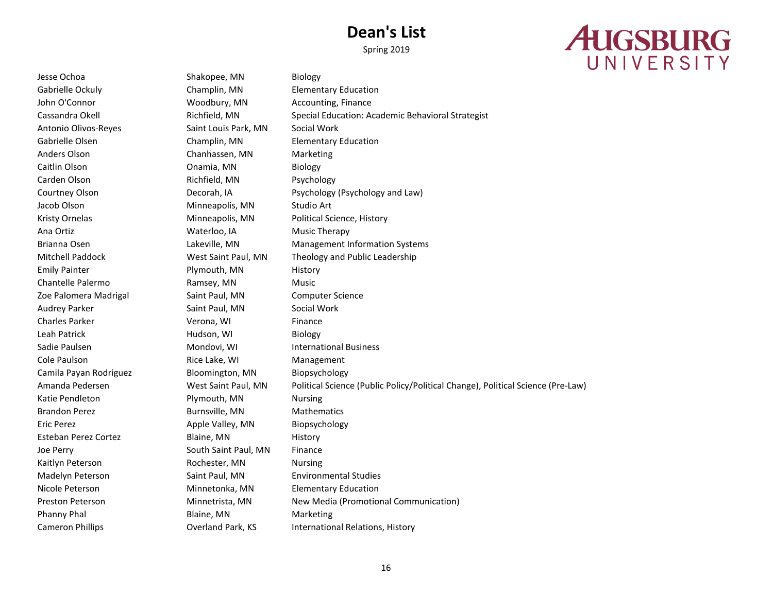Spring 2019

## **AUGSBURG** UNIVERSITY

Jesse Ochoa Shakopee, MN Biology Gabrielle Ockuly Champlin, MN Elementary Education John O'Connor **Woodbury, MN** Accounting, Finance Cassandra Okell Richfield, MN Special Education: Academic Behavioral Strategist Antonio Olivos-Reyes Saint Louis Park, MN Social Work Gabrielle Olsen **Champlin, MN** Elementary Education Anders Olson Chanhassen, MN Marketing Caitlin Olson **Caitlin Olson Caitlin Olson Caitlin Olson** Carden Olson Richfield, MN Psychology Courtney Olson Decorah, IA Psychology (Psychology and Law) Jacob Olson Minneapolis, MN Studio Art Kristy Ornelas **Minneapolis, MN** Political Science, History Ana Ortiz Waterloo, IA Music Therapy Brianna Osen Lakeville, MN Management Information Systems Mitchell Paddock West Saint Paul, MN Theology and Public Leadership Emily Painter **Plymouth, MN** History Chantelle Palermo **Ramsey, MN** Music Zoe Palomera Madrigal Saint Paul, MN Computer Science Audrey Parker **Saint Paul, MN** Social Work Charles Parker **Verona**, WI Finance Leah Patrick **Hudson, WI** Biology Sadie Paulsen Mondovi, WI International Business Cole Paulson **Rice Lake, WI** Management Camila Payan Rodriguez Bloomington, MN Biopsychology Amanda Pedersen West Saint Paul, MN Political Science (Public Policy/Political Change), Political Science (Pre-Law) Katie Pendleton **Plymouth, MN** Nursing Brandon Perez **Burnsville, MN** Mathematics Eric Perez **Apple Valley, MN** Biopsychology Esteban Perez Cortez **Blaine**, MN History Joe Perry **South Saint Paul, MN** Finance Kaitlyn Peterson **Rochester, MN** Nursing Madelyn Peterson Saint Paul, MN Environmental Studies Nicole Peterson Minnetonka, MN Elementary Education Preston Peterson **Minnetrista, MN** New Media (Promotional Communication) Phanny Phal **Blaine**, MN Marketing Cameron Phillips Overland Park, KS International Relations, History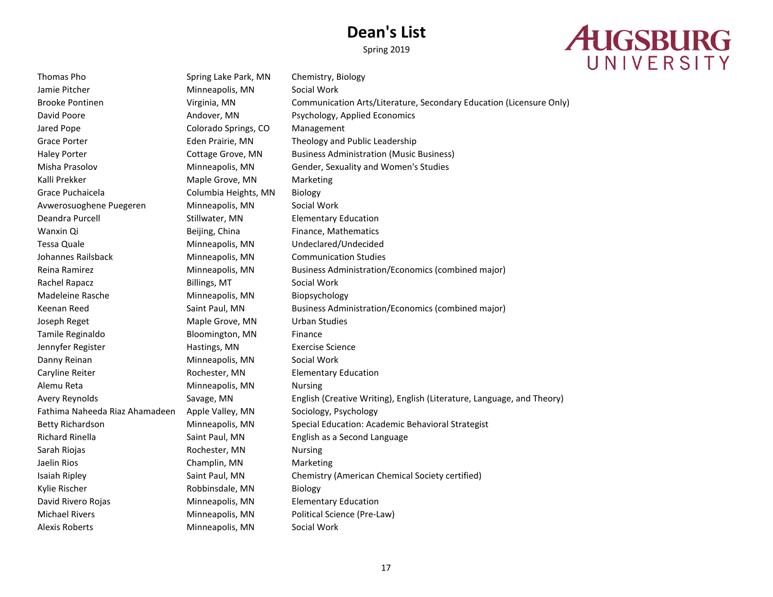# AUGSBURG

| Thomas Pho                     | Spring Lake Park, MN | Chemistry, Biology                                                     |
|--------------------------------|----------------------|------------------------------------------------------------------------|
| Jamie Pitcher                  | Minneapolis, MN      | Social Work                                                            |
| <b>Brooke Pontinen</b>         | Virginia, MN         | Communication Arts/Literature, Secondary Education (Licensure Only)    |
| David Poore                    | Andover, MN          | Psychology, Applied Economics                                          |
| Jared Pope                     | Colorado Springs, CO | Management                                                             |
| <b>Grace Porter</b>            | Eden Prairie, MN     | Theology and Public Leadership                                         |
| <b>Haley Porter</b>            | Cottage Grove, MN    | <b>Business Administration (Music Business)</b>                        |
| Misha Prasolov                 | Minneapolis, MN      | Gender, Sexuality and Women's Studies                                  |
| Kalli Prekker                  | Maple Grove, MN      | Marketing                                                              |
| Grace Puchaicela               | Columbia Heights, MN | Biology                                                                |
| Avwerosuoghene Puegeren        | Minneapolis, MN      | Social Work                                                            |
| Deandra Purcell                | Stillwater, MN       | <b>Elementary Education</b>                                            |
| Wanxin Qi                      | Beijing, China       | Finance, Mathematics                                                   |
| <b>Tessa Quale</b>             | Minneapolis, MN      | Undeclared/Undecided                                                   |
| Johannes Railsback             | Minneapolis, MN      | <b>Communication Studies</b>                                           |
| Reina Ramirez                  | Minneapolis, MN      | <b>Business Administration/Economics (combined major)</b>              |
| Rachel Rapacz                  | Billings, MT         | Social Work                                                            |
| Madeleine Rasche               | Minneapolis, MN      | Biopsychology                                                          |
| Keenan Reed                    | Saint Paul, MN       | Business Administration/Economics (combined major)                     |
| Joseph Reget                   | Maple Grove, MN      | <b>Urban Studies</b>                                                   |
| Tamile Reginaldo               | Bloomington, MN      | Finance                                                                |
| Jennyfer Register              | Hastings, MN         | <b>Exercise Science</b>                                                |
| Danny Reinan                   | Minneapolis, MN      | Social Work                                                            |
| Caryline Reiter                | Rochester, MN        | <b>Elementary Education</b>                                            |
| Alemu Reta                     | Minneapolis, MN      | <b>Nursing</b>                                                         |
| Avery Reynolds                 | Savage, MN           | English (Creative Writing), English (Literature, Language, and Theory) |
| Fathima Naheeda Riaz Ahamadeen | Apple Valley, MN     | Sociology, Psychology                                                  |
| <b>Betty Richardson</b>        | Minneapolis, MN      | Special Education: Academic Behavioral Strategist                      |
| <b>Richard Rinella</b>         | Saint Paul, MN       | English as a Second Language                                           |
| Sarah Riojas                   | Rochester, MN        | <b>Nursing</b>                                                         |
| Jaelin Rios                    | Champlin, MN         | Marketing                                                              |
| Isaiah Ripley                  | Saint Paul, MN       | Chemistry (American Chemical Society certified)                        |
| Kylie Rischer                  | Robbinsdale, MN      | Biology                                                                |
| David Rivero Rojas             | Minneapolis, MN      | <b>Elementary Education</b>                                            |
| <b>Michael Rivers</b>          | Minneapolis, MN      | Political Science (Pre-Law)                                            |
| <b>Alexis Roberts</b>          | Minneapolis, MN      | Social Work                                                            |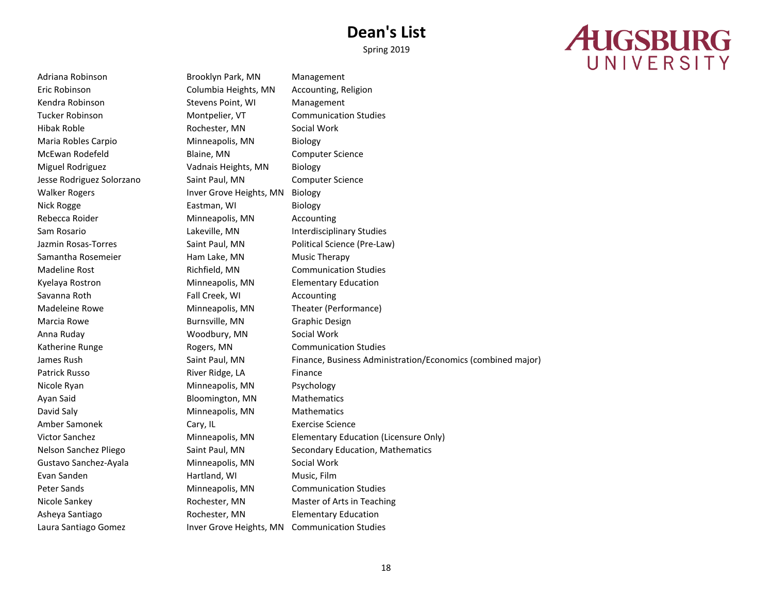Adriana Robinson **Brooklyn Park, MN** Management Eric Robinson Columbia Heights, MN Accounting, Religion Kendra Robinson Stevens Point, WI Management Tucker Robinson Montpelier, VT Communication Studies Hibak Roble Rochester, MN Social Work Maria Robles Carpio **Minneapolis**, MN Biology McEwan Rodefeld Blaine, MN Computer Science Miguel Rodriguez Vadnais Heights, MN Biology Jesse Rodriguez Solorzano Saint Paul, MN Computer Science Walker Rogers **Inver Grove Heights, MN** Biology Nick Rogge **Eastman, WI** Biology Rebecca Roider **Minneapolis**, MN Accounting Sam Rosario **Camera Lakeville, MN** Interdisciplinary Studies Jazmin Rosas-Torres Saint Paul, MN Political Science (Pre-Law) Samantha Rosemeier **Ham Lake, MN** Music Therapy Madeline Rost **Richfield, MN** Communication Studies Kyelaya Rostron Minneapolis, MN Elementary Education Savanna Roth Fall Creek, WI Accounting Madeleine Rowe Minneapolis, MN Theater (Performance) Marcia Rowe **Burnsville, MN** Graphic Design Anna Ruday Woodbury, MN Social Work Katherine Runge The Rogers, MN Communication Studies James Rush Saint Paul, MN Finance, Business Administration/Economics (combined major) Patrick Russo **River Ridge, LA** Finance Nicole Ryan Minneapolis, MN Psychology Ayan Said **Bloomington, MN** Mathematics David Saly **Minneapolis**, MN Mathematics Amber Samonek Cary, IL Exercise Science Victor Sanchez **Minneapolis, MN** Elementary Education (Licensure Only) Nelson Sanchez Pliego Saint Paul, MN Secondary Education, Mathematics Gustavo Sanchez-Ayala Minneapolis, MN Social Work Evan Sanden Hartland, WI Music, Film Peter Sands **Minneapolis, MN** Communication Studies Nicole Sankey **Rochester, MN** Master of Arts in Teaching Asheya Santiago Rochester, MN Elementary Education Laura Santiago Gomez Inver Grove Heights, MN Communication Studies

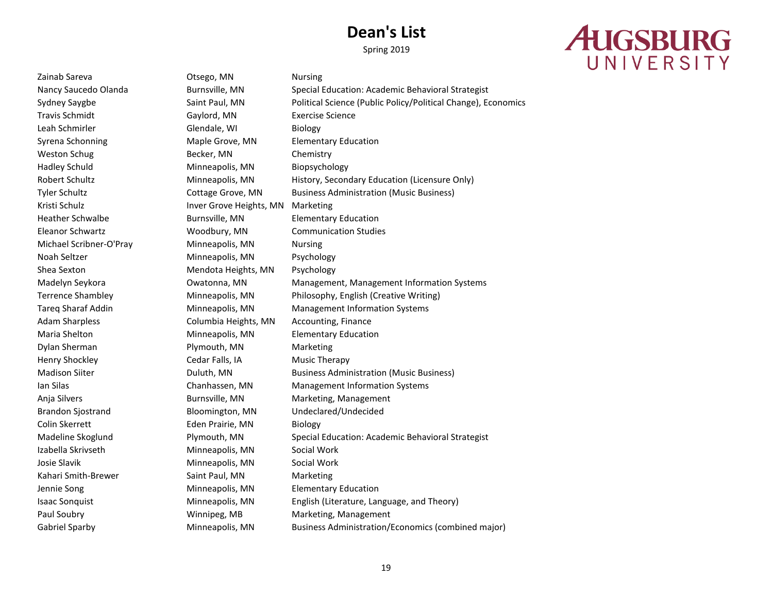Spring 2019

## **AUGSBURG** UNIVERSITY

Zainab Sareva **Disego, MN** Nursing Nancy Saucedo Olanda **Burnsville, MN** Special Education: Academic Behavioral Strategist Sydney Saygbe Saint Paul, MN Political Science (Public Policy/Political Change), Economics Travis Schmidt Gaylord, MN Exercise Science Leah Schmirler Glendale, WI Biology Syrena Schonning Maple Grove, MN Elementary Education Weston Schug Becker, MN Chemistry Hadley Schuld Minneapolis, MN Biopsychology Robert Schultz **Minneapolis, MN** History, Secondary Education (Licensure Only) Tyler Schultz **Cottage Grove, MN** Business Administration (Music Business) Kristi Schulz **Inver Grove Heights, MN** Marketing Heather Schwalbe Burnsville, MN Elementary Education Eleanor Schwartz Woodbury, MN Communication Studies Michael Scribner-O'Pray Minneapolis, MN Nursing Noah Seltzer Minneapolis, MN Psychology Shea Sexton Mendota Heights, MN Psychology Madelyn Seykora Owatonna, MN Management, Management Information Systems Terrence Shambley Minneapolis, MN Philosophy, English (Creative Writing) Tareq Sharaf Addin Minneapolis, MN Management Information Systems Adam Sharpless **Columbia Heights, MN** Accounting, Finance Maria Shelton **Minneapolis, MN** Elementary Education Dylan Sherman **Plymouth, MN** Marketing Henry Shockley **Cedar Falls, IA** Music Therapy Madison Siiter **Duluth, MN** Business Administration (Music Business) Ian Silas Chanhassen, MN Management Information Systems Anja Silvers **Burnsville, MN** Marketing, Management Brandon Sjostrand Bloomington, MN Undeclared/Undecided Colin Skerrett Eden Prairie, MN Biology Madeline Skoglund Plymouth, MN Special Education: Academic Behavioral Strategist Izabella Skrivseth Minneapolis, MN Social Work Josie Slavik **Minneapolis**, MN Social Work Kahari Smith-Brewer Saint Paul, MN Marketing Jennie Song Minneapolis, MN Elementary Education Isaac Sonquist **Minneapolis, MN** English (Literature, Language, and Theory) Paul Soubry **National Accord Marketing, Management** Marketing, Management Gabriel Sparby **Minneapolis, MN** Business Administration/Economics (combined major)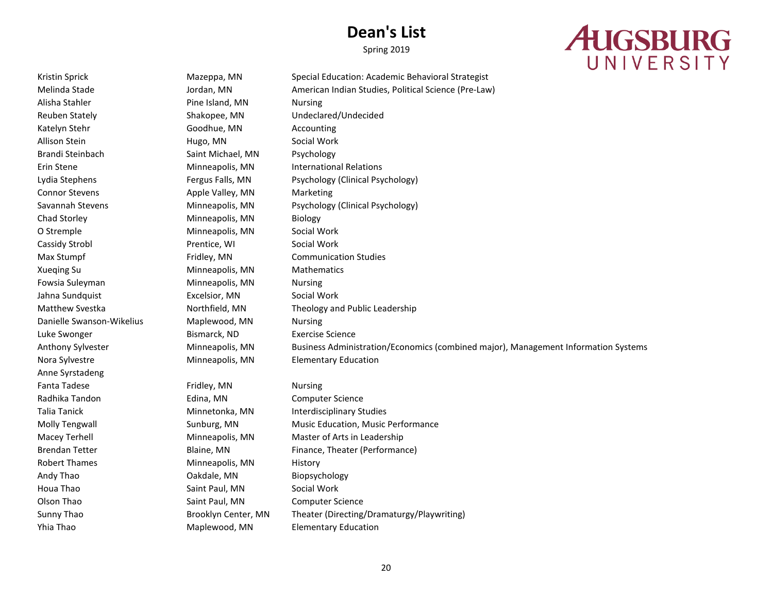Spring 2019

## **AUGSBURG** UNIVERSITY

Anne Syrstadeng Yhia Thao Maplewood, MN Elementary Education

Kristin Sprick **Mazeppa, MN** Special Education: Academic Behavioral Strategist Melinda Stade Jordan, MN American Indian Studies, Political Science (Pre-Law) Alisha Stahler **Pine Island, MN** Nursing Reuben Stately Shakopee, MN Undeclared/Undecided Katelyn Stehr Goodhue, MN Accounting Allison Stein **Hugo, MN** Social Work Brandi Steinbach Saint Michael, MN Psychology Erin Stene Minneapolis, MN International Relations Lydia Stephens Fergus Falls, MN Psychology (Clinical Psychology) Connor Stevens **Apple Valley, MN** Marketing Savannah Stevens **Minneapolis, MN** Psychology (Clinical Psychology) Chad Storley **Minneapolis**, MN Biology O Stremple Minneapolis, MN Social Work Cassidy Strobl **Prentice, WI** Social Work Max Stumpf Fridley, MN Communication Studies Xueqing Su **Minneapolis, MN** Mathematics Fowsia Suleyman Minneapolis, MN Nursing Jahna Sundquist **Excelsion**, MN Social Work Matthew Svestka Northfield, MN Theology and Public Leadership Danielle Swanson-Wikelius Maplewood, MN Nursing Luke Swonger Bismarck, ND Exercise Science Anthony Sylvester Minneapolis, MN Business Administration/Economics (combined major), Management Information Systems Nora Sylvestre **Minneapolis, MN** Elementary Education Fanta Tadese **Fridley**, MN Nursing Radhika Tandon **Edina, MN** Computer Science Talia Tanick **Minnetonka, MN** Interdisciplinary Studies Molly Tengwall Sunburg, MN Music Education, Music Performance Macey Terhell **Minneapolis, MN** Master of Arts in Leadership Brendan Tetter **Blaine, MN** Finance, Theater (Performance) Robert Thames Minneapolis, MN History Andy Thao Oakdale, MN Biopsychology Houa Thao Saint Paul, MN Social Work Olson Thao Saint Paul, MN Computer Science Sunny Thao Brooklyn Center, MN Theater (Directing/Dramaturgy/Playwriting)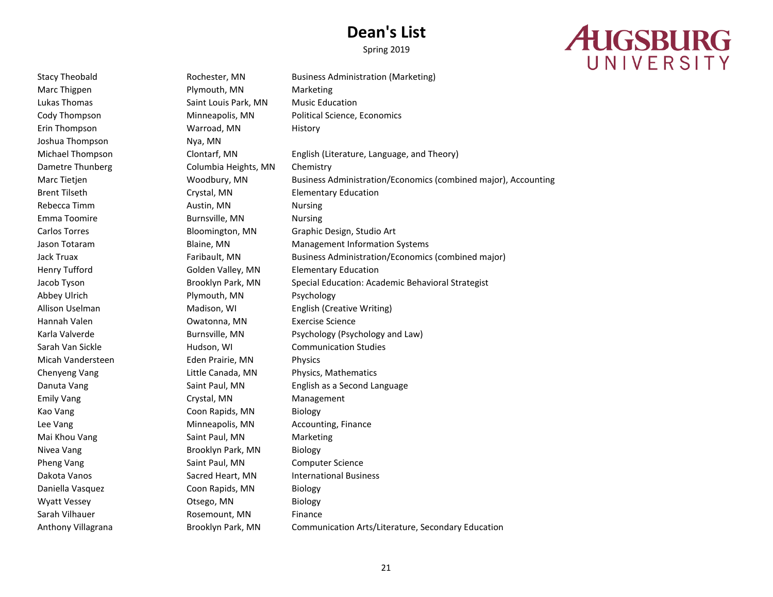#### Spring 2019

## **AUGSBURG** UNIVERSITY

Joshua Thompson Nya, MN

Stacy Theobald Rochester, MN Business Administration (Marketing) Marc Thigpen **Plymouth, MN** Marketing Lukas Thomas Thomas Saint Louis Park, MN Music Education Cody Thompson Minneapolis, MN Political Science, Economics Erin Thompson Warroad, MN History Michael Thompson Clontarf, MN English (Literature, Language, and Theory) Dametre Thunberg Columbia Heights, MN Chemistry Marc Tietjen Woodbury, MN Business Administration/Economics (combined major), Accounting Brent Tilseth Crystal, MN Elementary Education Rebecca Timm **Austin, MN** Nursing Emma Toomire **Burnsville, MN** Nursing Carlos Torres Bloomington, MN Graphic Design, Studio Art Jason Totaram Blaine, MN Management Information Systems Jack Truax Faribault, MN Business Administration/Economics (combined major) Henry Tufford Golden Valley, MN Elementary Education Jacob Tyson Brooklyn Park, MN Special Education: Academic Behavioral Strategist Abbey Ulrich Plymouth, MN Psychology Allison Uselman Madison, WI English (Creative Writing) Hannah Valen Owatonna, MN Exercise Science Karla Valverde **Burnsville, MN** Psychology (Psychology and Law) Sarah Van Sickle Hudson, WI Communication Studies Micah Vandersteen Eden Prairie, MN Physics Chenyeng Vang Little Canada, MN Physics, Mathematics Danuta Vang Saint Paul, MN English as a Second Language Emily Vang **Crystal, MN** Management Kao Vang **Coon Rapids, MN** Biology Lee Vang **Minneapolis, MN** Accounting, Finance Mai Khou Vang **Saint Paul, MN** Marketing Nivea Vang **Brooklyn Park, MN** Biology Pheng Vang Saint Paul, MN Computer Science Dakota Vanos Sacred Heart, MN International Business Daniella Vasquez Coon Rapids, MN Biology Wyatt Vessey **Communist Construction Construction Construction** Biology Sarah Vilhauer **Rosemount, MN** Finance Anthony Villagrana **Brooklyn Park, MN** Communication Arts/Literature, Secondary Education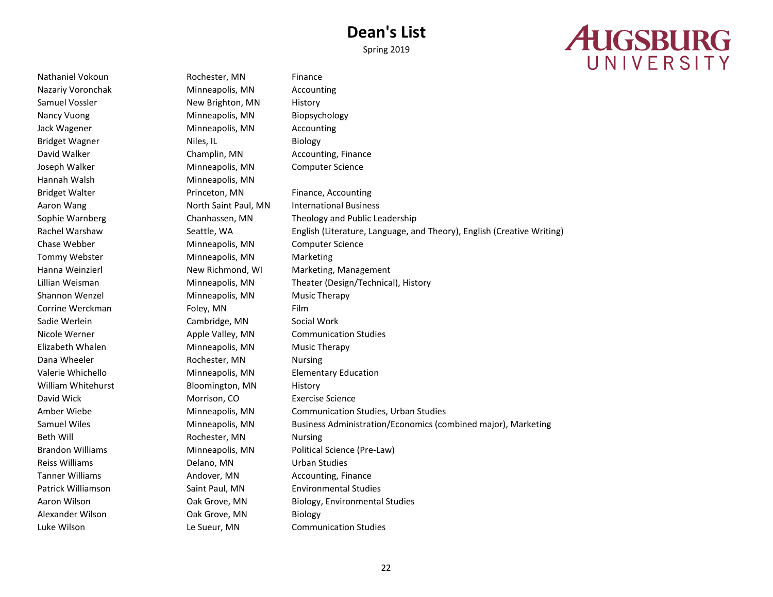## **AUGSBURG** UNIVERSITY

Nathaniel Vokoun **Rochester, MN** Finance Nazariy Voronchak Minneapolis, MN Accounting Samuel Vossler New Brighton, MN History Nancy Vuong **Minneapolis, MN** Biopsychology Jack Wagener Minneapolis, MN Accounting Bridget Wagner Niles, IL Biology David Walker **Champlin, MN** Accounting, Finance Joseph Walker Minneapolis, MN Computer Science Hannah Walsh Minneapolis, MN Bridget Walter **Princeton, MN** Finance, Accounting Aaron Wang **North Saint Paul, MN** International Business Sophie Warnberg Chanhassen, MN Theology and Public Leadership Rachel Warshaw Seattle, WA English (Literature, Language, and Theory), English (Creative Writing) Chase Webber Minneapolis, MN Computer Science Tommy Webster **Minneapolis**, MN Marketing Hanna Weinzierl New Richmond, WI Marketing, Management Lillian Weisman Minneapolis, MN Theater (Design/Technical), History Shannon Wenzel **Minneapolis**, MN Music Therapy Corrine Werckman Foley, MN Film Sadie Werlein Cambridge, MN Social Work Nicole Werner Apple Valley, MN Communication Studies Elizabeth Whalen **Minneapolis**, MN Music Therapy Dana Wheeler **Rochester**, MN Nursing Valerie Whichello **Minneapolis, MN** Elementary Education William Whitehurst **Bloomington, MN** History David Wick **Morrison, CO** Exercise Science Amber Wiebe **Minneapolis, MN** Communication Studies, Urban Studies Samuel Wiles **Minneapolis, MN** Business Administration/Economics (combined major), Marketing Beth Will **Rochester, MN** Nursing Brandon Williams **Minneapolis, MN** Political Science (Pre-Law) Reiss Williams **Delano, MN** Urban Studies Tanner Williams **Andover, MN** Accounting, Finance Patrick Williamson Saint Paul, MN Environmental Studies Aaron Wilson **Canada Communist Club Coak Grove, MN** Biology, Environmental Studies Alexander Wilson **Oak Grove, MN** Biology Luke Wilson **Le Sueur, MN** Communication Studies